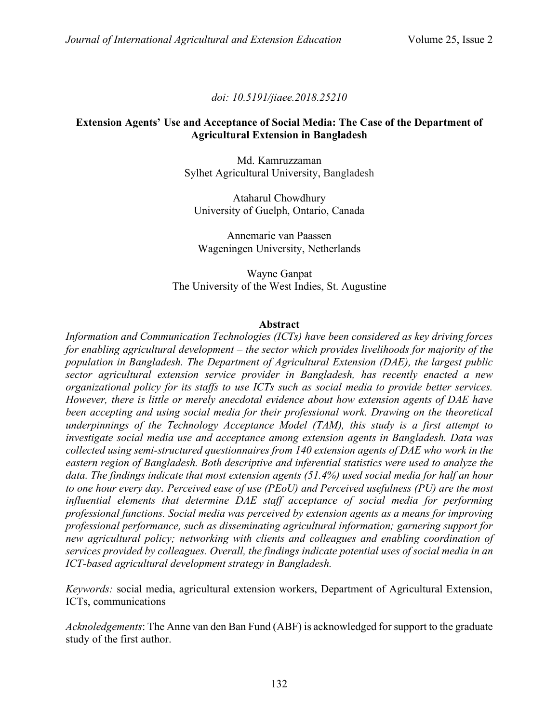*doi: 10.5191/jiaee.2018.25210*

## **Extension Agents' Use and Acceptance of Social Media: The Case of the Department of Agricultural Extension in Bangladesh**

Md. Kamruzzaman Sylhet Agricultural University, Bangladesh

Ataharul Chowdhury University of Guelph, Ontario, Canada

Annemarie van Paassen Wageningen University, Netherlands

Wayne Ganpat The University of the West Indies, St. Augustine

#### **Abstract**

*Information and Communication Technologies (ICTs) have been considered as key driving forces for enabling agricultural development ‒ the sector which provides livelihoods for majority of the population in Bangladesh. The Department of Agricultural Extension (DAE), the largest public sector agricultural extension service provider in Bangladesh, has recently enacted a new organizational policy for its staffs to use ICTs such as social media to provide better services. However, there is little or merely anecdotal evidence about how extension agents of DAE have been accepting and using social media for their professional work. Drawing on the theoretical underpinnings of the Technology Acceptance Model (TAM), this study is a first attempt to investigate social media use and acceptance among extension agents in Bangladesh. Data was collected using semi-structured questionnaires from 140 extension agents of DAE who work in the eastern region of Bangladesh. Both descriptive and inferential statistics were used to analyze the data. The findings indicate that most extension agents (51.4%) used social media for half an hour to one hour every day. Perceived ease of use (PEoU) and Perceived usefulness (PU) are the most influential elements that determine DAE staff acceptance of social media for performing professional functions. Social media was perceived by extension agents as a means for improving professional performance, such as disseminating agricultural information; garnering support for new agricultural policy; networking with clients and colleagues and enabling coordination of services provided by colleagues. Overall, the findings indicate potential uses of social media in an ICT-based agricultural development strategy in Bangladesh.*

*Keywords:* social media, agricultural extension workers, Department of Agricultural Extension, ICTs, communications

*Acknoledgements*: The Anne van den Ban Fund (ABF) is acknowledged for support to the graduate study of the first author.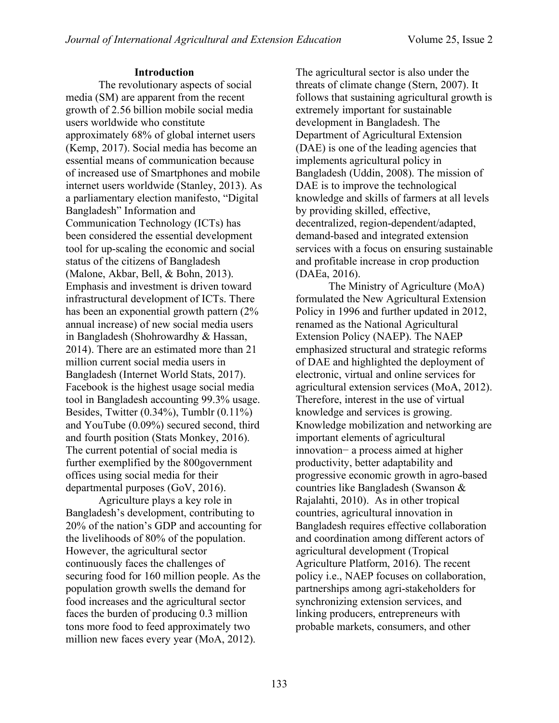## **Introduction**

The revolutionary aspects of social media (SM) are apparent from the recent growth of 2.56 billion mobile social media users worldwide who constitute approximately 68% of global internet users (Kemp, 2017). Social media has become an essential means of communication because of increased use of Smartphones and mobile internet users worldwide (Stanley, 2013). As a parliamentary election manifesto, "Digital Bangladesh" Information and Communication Technology (ICTs) has been considered the essential development tool for up-scaling the economic and social status of the citizens of Bangladesh (Malone, Akbar, Bell, & Bohn, 2013). Emphasis and investment is driven toward infrastructural development of ICTs. There has been an exponential growth pattern (2% annual increase) of new social media users in Bangladesh (Shohrowardhy & Hassan, 2014). There are an estimated more than 21 million current social media users in Bangladesh (Internet World Stats, 2017). Facebook is the highest usage social media tool in Bangladesh accounting 99.3% usage. Besides, Twitter (0.34%), Tumblr (0.11%) and YouTube (0.09%) secured second, third and fourth position (Stats Monkey, 2016). The current potential of social media is further exemplified by the 800government offices using social media for their departmental purposes (GoV, 2016).

Agriculture plays a key role in Bangladesh's development, contributing to 20% of the nation's GDP and accounting for the livelihoods of 80% of the population. However, the agricultural sector continuously faces the challenges of securing food for 160 million people. As the population growth swells the demand for food increases and the agricultural sector faces the burden of producing 0.3 million tons more food to feed approximately two million new faces every year (MoA, 2012).

The agricultural sector is also under the threats of climate change (Stern, 2007). It follows that sustaining agricultural growth is extremely important for sustainable development in Bangladesh. The Department of Agricultural Extension (DAE) is one of the leading agencies that implements agricultural policy in Bangladesh (Uddin, 2008). The mission of DAE is to improve the technological knowledge and skills of farmers at all levels by providing skilled, effective, decentralized, region-dependent/adapted, demand-based and integrated extension services with a focus on ensuring sustainable and profitable increase in crop production (DAEa, 2016).

The Ministry of Agriculture (MoA) formulated the New Agricultural Extension Policy in 1996 and further updated in 2012, renamed as the National Agricultural Extension Policy (NAEP). The NAEP emphasized structural and strategic reforms of DAE and highlighted the deployment of electronic, virtual and online services for agricultural extension services (MoA, 2012). Therefore, interest in the use of virtual knowledge and services is growing. Knowledge mobilization and networking are important elements of agricultural innovation− a process aimed at higher productivity, better adaptability and progressive economic growth in agro-based countries like Bangladesh (Swanson & Rajalahti, 2010). As in other tropical countries, agricultural innovation in Bangladesh requires effective collaboration and coordination among different actors of agricultural development (Tropical Agriculture Platform, 2016). The recent policy i.e., NAEP focuses on collaboration, partnerships among agri-stakeholders for synchronizing extension services, and linking producers, entrepreneurs with probable markets, consumers, and other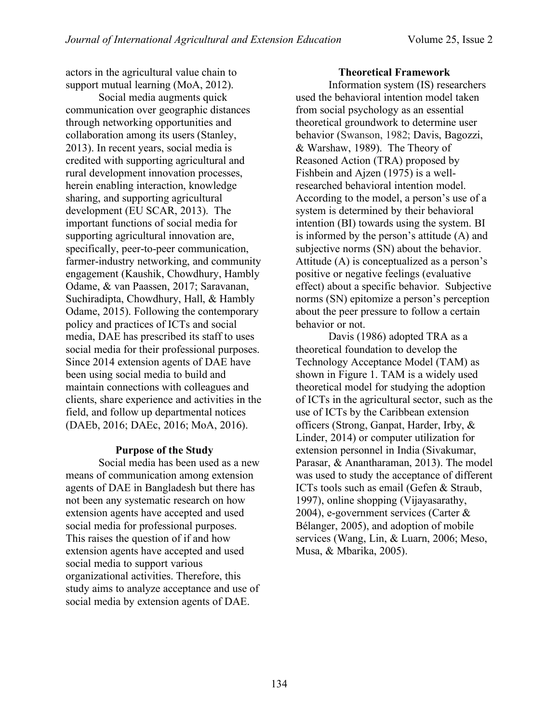actors in the agricultural value chain to support mutual learning (MoA, 2012).

Social media augments quick communication over geographic distances through networking opportunities and collaboration among its users (Stanley, 2013). In recent years, social media is credited with supporting agricultural and rural development innovation processes, herein enabling interaction, knowledge sharing, and supporting agricultural development (EU SCAR, 2013). The important functions of social media for supporting agricultural innovation are, specifically, peer-to-peer communication, farmer-industry networking, and community engagement (Kaushik, Chowdhury, Hambly Odame, & van Paassen, 2017; Saravanan, Suchiradipta, Chowdhury, Hall, & Hambly Odame, 2015). Following the contemporary policy and practices of ICTs and social media, DAE has prescribed its staff to uses social media for their professional purposes. Since 2014 extension agents of DAE have been using social media to build and maintain connections with colleagues and clients, share experience and activities in the field, and follow up departmental notices (DAEb, 2016; DAEc, 2016; MoA, 2016).

#### **Purpose of the Study**

Social media has been used as a new means of communication among extension agents of DAE in Bangladesh but there has not been any systematic research on how extension agents have accepted and used social media for professional purposes. This raises the question of if and how extension agents have accepted and used social media to support various organizational activities. Therefore, this study aims to analyze acceptance and use of social media by extension agents of DAE.

## **Theoretical Framework**

Information system (IS) researchers used the behavioral intention model taken from social psychology as an essential theoretical groundwork to determine user behavior (Swanson, 1982; Davis, Bagozzi, & Warshaw, 1989). The Theory of Reasoned Action (TRA) proposed by Fishbein and Ajzen (1975) is a wellresearched behavioral intention model. According to the model, a person's use of a system is determined by their behavioral intention (BI) towards using the system. BI is informed by the person's attitude (A) and subjective norms (SN) about the behavior. Attitude (A) is conceptualized as a person's positive or negative feelings (evaluative effect) about a specific behavior. Subjective norms (SN) epitomize a person's perception about the peer pressure to follow a certain behavior or not.

Davis (1986) adopted TRA as a theoretical foundation to develop the Technology Acceptance Model (TAM) as shown in Figure 1. TAM is a widely used theoretical model for studying the adoption of ICTs in the agricultural sector, such as the use of ICTs by the Caribbean extension officers (Strong, Ganpat, Harder, Irby, & Linder, 2014) or computer utilization for extension personnel in India (Sivakumar, Parasar, & Anantharaman, 2013). The model was used to study the acceptance of different ICTs tools such as email (Gefen & Straub, 1997), online shopping (Vijayasarathy, 2004), e-government services (Carter & Bélanger, 2005), and adoption of mobile services (Wang, Lin, & Luarn, 2006; Meso, Musa, & Mbarika, 2005).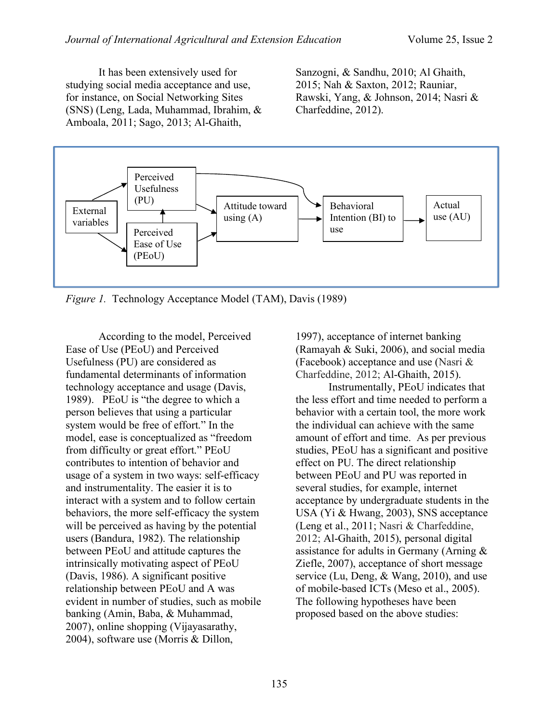It has been extensively used for studying social media acceptance and use, for instance, on Social Networking Sites (SNS) (Leng, Lada, Muhammad, Ibrahim, & Amboala, 2011; Sago, 2013; Al-Ghaith,

Sanzogni, & Sandhu, 2010; Al Ghaith, 2015; Nah & Saxton, 2012; Rauniar, Rawski, Yang, & Johnson, 2014; Nasri & Charfeddine, 2012).



*Figure 1.* Technology Acceptance Model (TAM), Davis (1989)

According to the model, Perceived Ease of Use (PEoU) and Perceived Usefulness (PU) are considered as fundamental determinants of information technology acceptance and usage (Davis, 1989). PEoU is "the degree to which a person believes that using a particular system would be free of effort." In the model, ease is conceptualized as "freedom from difficulty or great effort." PEoU contributes to intention of behavior and usage of a system in two ways: self-efficacy and instrumentality. The easier it is to interact with a system and to follow certain behaviors, the more self-efficacy the system will be perceived as having by the potential users (Bandura, 1982). The relationship between PEoU and attitude captures the intrinsically motivating aspect of PEoU (Davis, 1986). A significant positive relationship between PEoU and A was evident in number of studies, such as mobile banking (Amin, Baba, & Muhammad, 2007), online shopping (Vijayasarathy, 2004), software use (Morris & Dillon,

1997), acceptance of internet banking (Ramayah & Suki, 2006), and social media (Facebook) acceptance and use (Nasri & Charfeddine, 2012; Al-Ghaith, 2015).

Instrumentally, PEoU indicates that the less effort and time needed to perform a behavior with a certain tool, the more work the individual can achieve with the same amount of effort and time. As per previous studies, PEoU has a significant and positive effect on PU. The direct relationship between PEoU and PU was reported in several studies, for example, internet acceptance by undergraduate students in the USA (Yi & Hwang, 2003), SNS acceptance (Leng et al., 2011; Nasri & Charfeddine, 2012; Al-Ghaith, 2015), personal digital assistance for adults in Germany (Arning & Ziefle, 2007), acceptance of short message service (Lu, Deng, & Wang, 2010), and use of mobile-based ICTs (Meso et al., 2005). The following hypotheses have been proposed based on the above studies: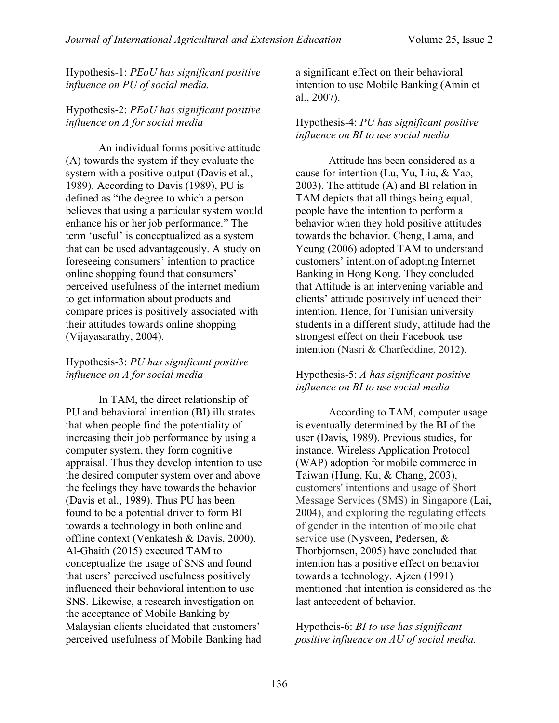Hypothesis-1: *PEoU has significant positive influence on PU of social media.*

# Hypothesis-2: *PEoU has significant positive influence on A for social media*

An individual forms positive attitude (A) towards the system if they evaluate the system with a positive output (Davis et al., 1989). According to Davis (1989), PU is defined as "the degree to which a person believes that using a particular system would enhance his or her job performance." The term 'useful' is conceptualized as a system that can be used advantageously. A study on foreseeing consumers' intention to practice online shopping found that consumers' perceived usefulness of the internet medium to get information about products and compare prices is positively associated with their attitudes towards online shopping (Vijayasarathy, 2004).

# Hypothesis-3: *PU has significant positive influence on A for social media*

In TAM, the direct relationship of PU and behavioral intention (BI) illustrates that when people find the potentiality of increasing their job performance by using a computer system, they form cognitive appraisal. Thus they develop intention to use the desired computer system over and above the feelings they have towards the behavior (Davis et al., 1989). Thus PU has been found to be a potential driver to form BI towards a technology in both online and offline context (Venkatesh & Davis, 2000). Al-Ghaith (2015) executed TAM to conceptualize the usage of SNS and found that users' perceived usefulness positively influenced their behavioral intention to use SNS. Likewise, a research investigation on the acceptance of Mobile Banking by Malaysian clients elucidated that customers' perceived usefulness of Mobile Banking had

a significant effect on their behavioral intention to use Mobile Banking (Amin et al., 2007).

# Hypothesis-4: *PU has significant positive influence on BI to use social media*

Attitude has been considered as a cause for intention (Lu, Yu, Liu, & Yao, 2003). The attitude (A) and BI relation in TAM depicts that all things being equal, people have the intention to perform a behavior when they hold positive attitudes towards the behavior. Cheng, Lama, and Yeung (2006) adopted TAM to understand customers' intention of adopting Internet Banking in Hong Kong. They concluded that Attitude is an intervening variable and clients' attitude positively influenced their intention. Hence, for Tunisian university students in a different study, attitude had the strongest effect on their Facebook use intention (Nasri & Charfeddine, 2012).

# Hypothesis-5: *A has significant positive influence on BI to use social media*

According to TAM, computer usage is eventually determined by the BI of the user (Davis, 1989). Previous studies, for instance, Wireless Application Protocol (WAP) adoption for mobile commerce in Taiwan (Hung, Ku, & Chang, 2003), customers' intentions and usage of Short Message Services (SMS) in Singapore (Lai, 2004), and exploring the regulating effects of gender in the intention of mobile chat service use (Nysveen, Pedersen, & Thorbjornsen, 2005) have concluded that intention has a positive effect on behavior towards a technology. Ajzen (1991) mentioned that intention is considered as the last antecedent of behavior.

Hypotheis-6: *BI to use has significant positive influence on AU of social media.*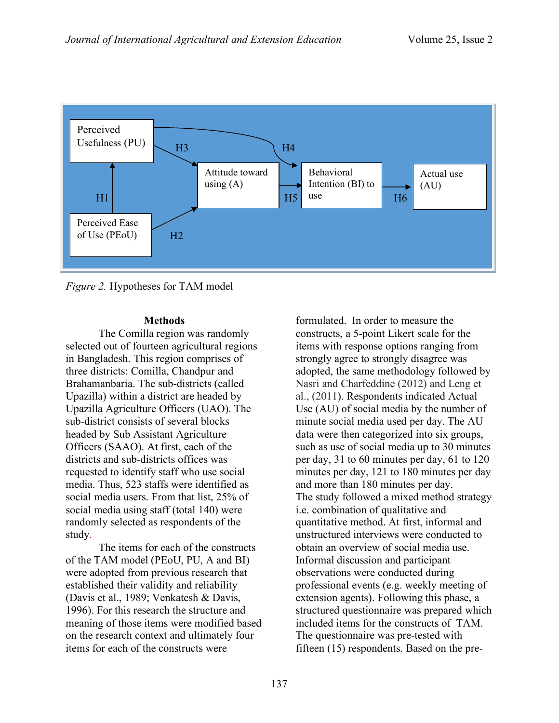

*Figure 2.* Hypotheses for TAM model

#### **Methods**

The Comilla region was randomly selected out of fourteen agricultural regions in Bangladesh. This region comprises of three districts: Comilla, Chandpur and Brahamanbaria. The sub-districts (called Upazilla) within a district are headed by Upazilla Agriculture Officers (UAO). The sub-district consists of several blocks headed by Sub Assistant Agriculture Officers (SAAO). At first, each of the districts and sub-districts offices was requested to identify staff who use social media. Thus, 523 staffs were identified as social media users. From that list, 25% of social media using staff (total 140) were randomly selected as respondents of the study.

The items for each of the constructs of the TAM model (PEoU, PU, A and BI) were adopted from previous research that established their validity and reliability (Davis et al., 1989; Venkatesh & Davis, 1996). For this research the structure and meaning of those items were modified based on the research context and ultimately four items for each of the constructs were

formulated. In order to measure the constructs, a 5-point Likert scale for the items with response options ranging from strongly agree to strongly disagree was adopted, the same methodology followed by Nasri and Charfeddine (2012) and Leng et al., (2011). Respondents indicated Actual Use (AU) of social media by the number of minute social media used per day. The AU data were then categorized into six groups, such as use of social media up to 30 minutes per day, 31 to 60 minutes per day, 61 to 120 minutes per day, 121 to 180 minutes per day and more than 180 minutes per day. The study followed a mixed method strategy i.e. combination of qualitative and quantitative method. At first, informal and unstructured interviews were conducted to obtain an overview of social media use. Informal discussion and participant observations were conducted during professional events (e.g. weekly meeting of extension agents). Following this phase, a structured questionnaire was prepared which included items for the constructs of TAM. The questionnaire was pre-tested with fifteen (15) respondents. Based on the pre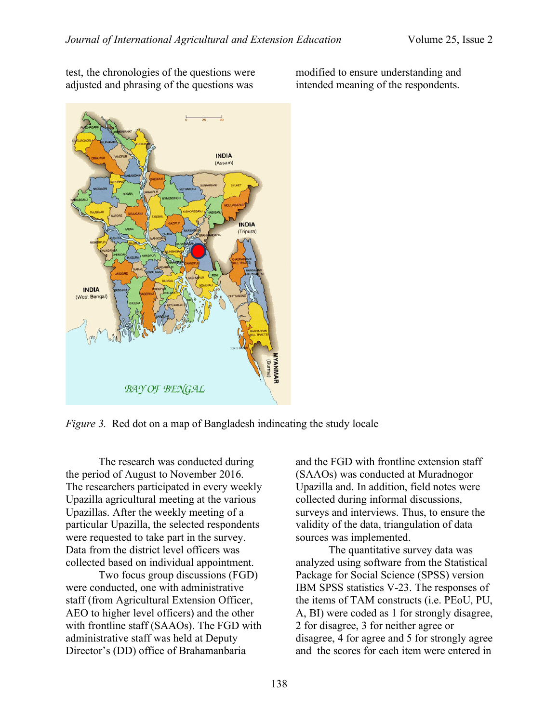test, the chronologies of the questions were adjusted and phrasing of the questions was

modified to ensure understanding and intended meaning of the respondents.



*Figure 3.* Red dot on a map of Bangladesh indincating the study locale

The research was conducted during the period of August to November 2016. The researchers participated in every weekly Upazilla agricultural meeting at the various Upazillas. After the weekly meeting of a particular Upazilla, the selected respondents were requested to take part in the survey. Data from the district level officers was collected based on individual appointment.

Two focus group discussions (FGD) were conducted, one with administrative staff (from Agricultural Extension Officer, AEO to higher level officers) and the other with frontline staff (SAAOs). The FGD with administrative staff was held at Deputy Director's (DD) office of Brahamanbaria

and the FGD with frontline extension staff (SAAOs) was conducted at Muradnogor Upazilla and. In addition, field notes were collected during informal discussions, surveys and interviews. Thus, to ensure the validity of the data, triangulation of data sources was implemented.

The quantitative survey data was analyzed using software from the Statistical Package for Social Science (SPSS) version IBM SPSS statistics V-23. The responses of the items of TAM constructs (i.e. PEoU, PU, A, BI) were coded as 1 for strongly disagree, 2 for disagree, 3 for neither agree or disagree, 4 for agree and 5 for strongly agree and the scores for each item were entered in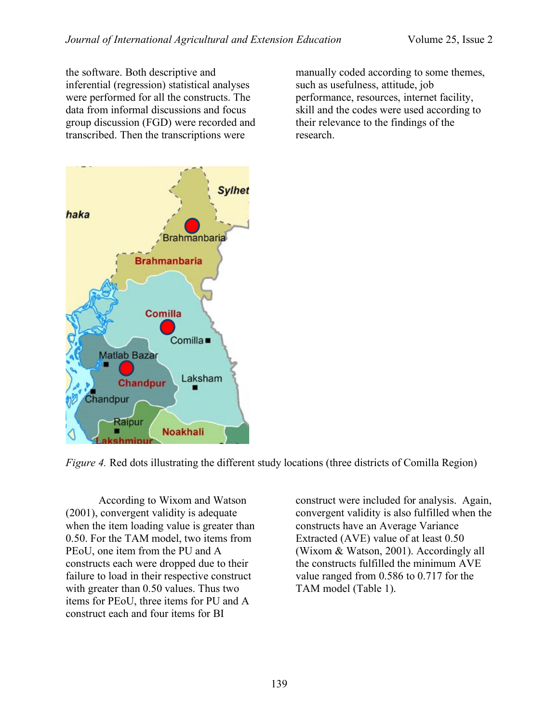the software. Both descriptive and inferential (regression) statistical analyses were performed for all the constructs. The data from informal discussions and focus group discussion (FGD) were recorded and transcribed. Then the transcriptions were

manually coded according to some themes, such as usefulness, attitude, job performance, resources, internet facility, skill and the codes were used according to their relevance to the findings of the research.



*Figure 4.* Red dots illustrating the different study locations (three districts of Comilla Region)

According to Wixom and Watson (2001), convergent validity is adequate when the item loading value is greater than 0.50. For the TAM model, two items from PEoU, one item from the PU and A constructs each were dropped due to their failure to load in their respective construct with greater than 0.50 values. Thus two items for PEoU, three items for PU and A construct each and four items for BI

construct were included for analysis. Again, convergent validity is also fulfilled when the constructs have an Average Variance Extracted (AVE) value of at least 0.50 (Wixom & Watson, 2001). Accordingly all the constructs fulfilled the minimum AVE value ranged from 0.586 to 0.717 for the TAM model (Table 1).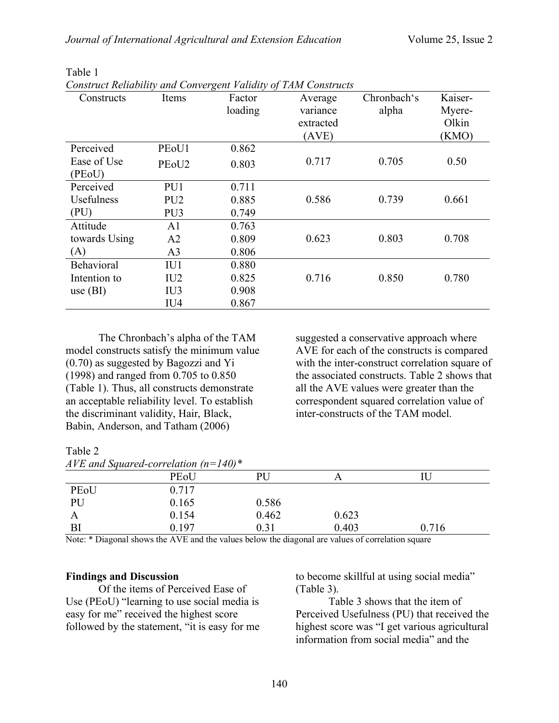| Constructs    | Items                          | $\circ$<br>Factor | Average   | Chronbach's | Kaiser- |
|---------------|--------------------------------|-------------------|-----------|-------------|---------|
|               |                                | loading           | variance  | alpha       | Myere-  |
|               |                                |                   | extracted |             | Olkin   |
|               |                                |                   | (AVE)     |             | (KMO)   |
| Perceived     | PE <sub>o</sub> U1             | 0.862             |           |             |         |
| Ease of Use   | PE <sub>o</sub> U <sub>2</sub> | 0.803             | 0.717     | 0.705       | 0.50    |
| (PEoU)        |                                |                   |           |             |         |
| Perceived     | PU1                            | 0.711             |           |             |         |
| Usefulness    | PU <sub>2</sub>                | 0.885             | 0.586     | 0.739       | 0.661   |
| (PU)          | PU <sub>3</sub>                | 0.749             |           |             |         |
| Attitude      | A <sub>1</sub>                 | 0.763             |           |             |         |
| towards Using | A2                             | 0.809             | 0.623     | 0.803       | 0.708   |
| (A)           | A <sub>3</sub>                 | 0.806             |           |             |         |
| Behavioral    | IU1                            | 0.880             |           |             |         |
| Intention to  | IU <sub>2</sub>                | 0.825             | 0.716     | 0.850       | 0.780   |
| use $(BI)$    | IU <sub>3</sub>                | 0.908             |           |             |         |
|               | IU <sub>4</sub>                | 0.867             |           |             |         |

Table 1

*Construct Reliability and Convergent Validity of TAM Constructs*

The Chronbach's alpha of the TAM model constructs satisfy the minimum value (0.70) as suggested by Bagozzi and Yi (1998) and ranged from 0.705 to 0.850 (Table 1). Thus, all constructs demonstrate an acceptable reliability level. To establish the discriminant validity, Hair, Black, Babin, Anderson, and Tatham (2006)

suggested a conservative approach where AVE for each of the constructs is compared with the inter-construct correlation square of the associated constructs. Table 2 shows that all the AVE values were greater than the correspondent squared correlation value of inter-constructs of the TAM model.

#### Table 2

| AVE and Squared-correlation $(n=140)^*$ |       |       |       |       |  |
|-----------------------------------------|-------|-------|-------|-------|--|
|                                         | PEoU  | PU    |       |       |  |
| PEoU                                    | 0.717 |       |       |       |  |
| PU                                      | 0.165 | 0.586 |       |       |  |
| A                                       | 0.154 | 0.462 | 0.623 |       |  |
| BI                                      | 0.197 | 0.31  | 0.403 | 0.716 |  |

Note: \* Diagonal shows the AVE and the values below the diagonal are values of correlation square

# **Findings and Discussion**

Of the items of Perceived Ease of Use (PEoU) "learning to use social media is easy for me" received the highest score followed by the statement, "it is easy for me

to become skillful at using social media" (Table 3).

Table 3 shows that the item of Perceived Usefulness (PU) that received the highest score was "I get various agricultural information from social media" and the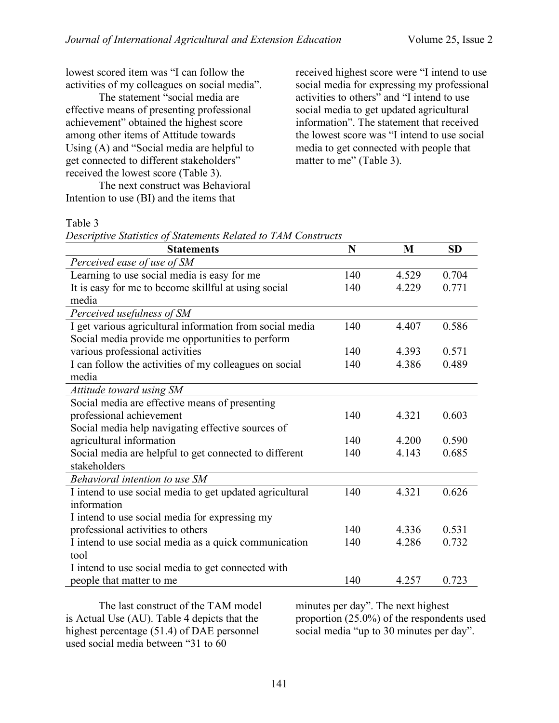lowest scored item was "I can follow the activities of my colleagues on social media".

The statement "social media are effective means of presenting professional achievement" obtained the highest score among other items of Attitude towards Using (A) and "Social media are helpful to get connected to different stakeholders" received the lowest score (Table 3).

The next construct was Behavioral Intention to use (BI) and the items that

received highest score were "I intend to use social media for expressing my professional activities to others" and "I intend to use social media to get updated agricultural information". The statement that received the lowest score was "I intend to use social media to get connected with people that matter to me" (Table 3).

## Table 3

*Descriptive Statistics of Statements Related to TAM Constructs*

| <b>Statements</b>                                        | N   | M     | <b>SD</b> |
|----------------------------------------------------------|-----|-------|-----------|
| Perceived ease of use of SM                              |     |       |           |
| Learning to use social media is easy for me              | 140 | 4.529 | 0.704     |
| It is easy for me to become skillful at using social     | 140 | 4.229 | 0.771     |
| media                                                    |     |       |           |
| Perceived usefulness of SM                               |     |       |           |
| I get various agricultural information from social media | 140 | 4.407 | 0.586     |
| Social media provide me opportunities to perform         |     |       |           |
| various professional activities                          | 140 | 4.393 | 0.571     |
| I can follow the activities of my colleagues on social   | 140 | 4.386 | 0.489     |
| media                                                    |     |       |           |
| Attitude toward using SM                                 |     |       |           |
| Social media are effective means of presenting           |     |       |           |
| professional achievement                                 | 140 | 4.321 | 0.603     |
| Social media help navigating effective sources of        |     |       |           |
| agricultural information                                 | 140 | 4.200 | 0.590     |
| Social media are helpful to get connected to different   | 140 | 4.143 | 0.685     |
| stakeholders                                             |     |       |           |
| Behavioral intention to use SM                           |     |       |           |
| I intend to use social media to get updated agricultural | 140 | 4.321 | 0.626     |
| information                                              |     |       |           |
| I intend to use social media for expressing my           |     |       |           |
| professional activities to others                        | 140 | 4.336 | 0.531     |
| I intend to use social media as a quick communication    | 140 | 4.286 | 0.732     |
| tool                                                     |     |       |           |
| I intend to use social media to get connected with       |     |       |           |
| people that matter to me                                 | 140 | 4.257 | 0.723     |

The last construct of the TAM model is Actual Use (AU). Table 4 depicts that the highest percentage (51.4) of DAE personnel used social media between "31 to 60

minutes per day". The next highest proportion (25.0%) of the respondents used social media "up to 30 minutes per day".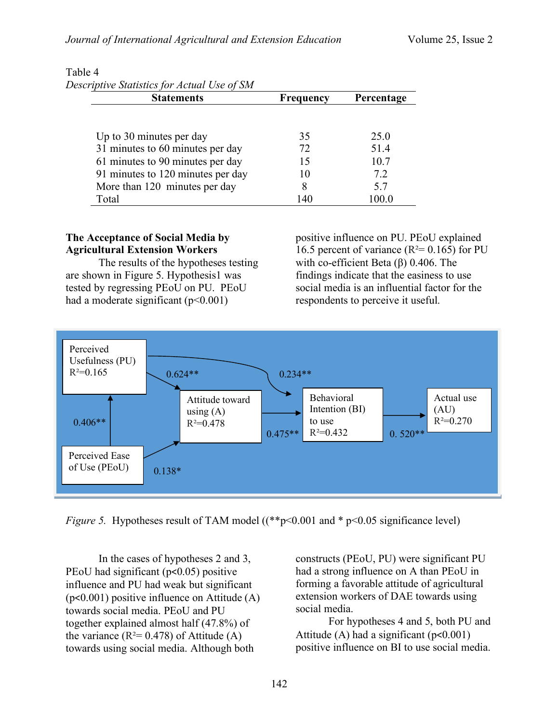| Descriptive Statistics for Actual Use of SM |                  |            |  |
|---------------------------------------------|------------------|------------|--|
| <b>Statements</b>                           | <b>Frequency</b> | Percentage |  |
|                                             |                  |            |  |
| Up to 30 minutes per day                    | 35               | 25.0       |  |
| 31 minutes to 60 minutes per day            | 72               | 51.4       |  |
| 61 minutes to 90 minutes per day            | 15               | 10.7       |  |
| 91 minutes to 120 minutes per day           | 10               | 72         |  |
| More than 120 minutes per day               | 8                | 57         |  |
| Total                                       | $\Delta$         |            |  |

# Table 4

# **The Acceptance of Social Media by Agricultural Extension Workers**

The results of the hypotheses testing are shown in Figure 5. Hypothesis1 was tested by regressing PEoU on PU. PEoU had a moderate significant  $(p<0.001)$ 

positive influence on PU. PEoU explained 16.5 percent of variance ( $R^2$ = 0.165) for PU with co-efficient Beta (β) 0.406. The findings indicate that the easiness to use social media is an influential factor for the respondents to perceive it useful.



*Figure 5.* Hypotheses result of TAM model ((\*\*p<0.001 and \* p<0.05 significance level)

In the cases of hypotheses 2 and 3, PEoU had significant (p<0.05) positive influence and PU had weak but significant (p<0.001) positive influence on Attitude (A) towards social media. PEoU and PU together explained almost half (47.8%) of the variance  $(R^2 = 0.478)$  of Attitude (A) towards using social media. Although both

constructs (PEoU, PU) were significant PU had a strong influence on A than PEoU in forming a favorable attitude of agricultural extension workers of DAE towards using social media.

For hypotheses 4 and 5, both PU and Attitude (A) had a significant  $(p<0.001)$ positive influence on BI to use social media.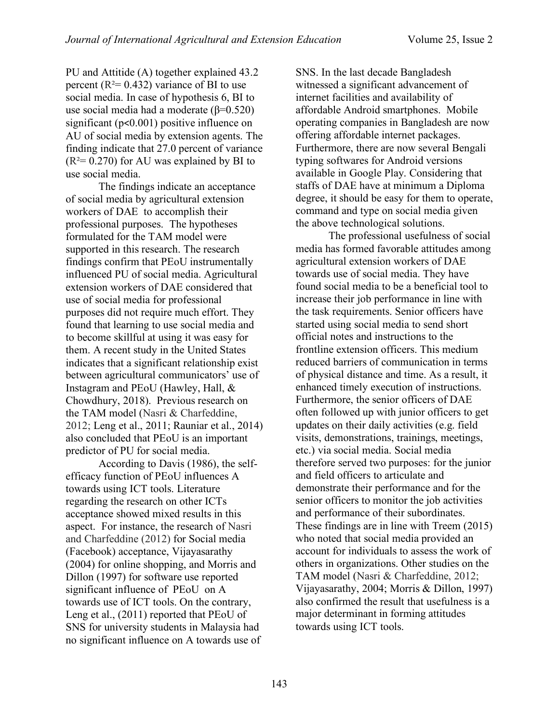PU and Attitide (A) together explained 43.2 percent ( $R^2$ = 0.432) variance of BI to use social media. In case of hypothesis 6, BI to use social media had a moderate  $(\beta=0.520)$ significant (p<0.001) positive influence on AU of social media by extension agents. The finding indicate that 27.0 percent of variance  $(R<sup>2</sup>= 0.270)$  for AU was explained by BI to use social media.

The findings indicate an acceptance of social media by agricultural extension workers of DAE to accomplish their professional purposes. The hypotheses formulated for the TAM model were supported in this research. The research findings confirm that PEoU instrumentally influenced PU of social media. Agricultural extension workers of DAE considered that use of social media for professional purposes did not require much effort. They found that learning to use social media and to become skillful at using it was easy for them. A recent study in the United States indicates that a significant relationship exist between agricultural communicators' use of Instagram and PEoU (Hawley, Hall, & Chowdhury, 2018). Previous research on the TAM model (Nasri & Charfeddine, 2012; Leng et al., 2011; Rauniar et al., 2014) also concluded that PEoU is an important predictor of PU for social media.

According to Davis (1986), the selfefficacy function of PEoU influences A towards using ICT tools. Literature regarding the research on other ICTs acceptance showed mixed results in this aspect. For instance, the research of Nasri and Charfeddine (2012) for Social media (Facebook) acceptance, Vijayasarathy (2004) for online shopping, and Morris and Dillon (1997) for software use reported significant influence of PEoU on A towards use of ICT tools. On the contrary, Leng et al., (2011) reported that PEoU of SNS for university students in Malaysia had no significant influence on A towards use of SNS. In the last decade Bangladesh witnessed a significant advancement of internet facilities and availability of affordable Android smartphones. Mobile operating companies in Bangladesh are now offering affordable internet packages. Furthermore, there are now several Bengali typing softwares for Android versions available in Google Play. Considering that staffs of DAE have at minimum a Diploma degree, it should be easy for them to operate, command and type on social media given the above technological solutions.

The professional usefulness of social media has formed favorable attitudes among agricultural extension workers of DAE towards use of social media. They have found social media to be a beneficial tool to increase their job performance in line with the task requirements. Senior officers have started using social media to send short official notes and instructions to the frontline extension officers. This medium reduced barriers of communication in terms of physical distance and time. As a result, it enhanced timely execution of instructions. Furthermore, the senior officers of DAE often followed up with junior officers to get updates on their daily activities (e.g. field visits, demonstrations, trainings, meetings, etc.) via social media. Social media therefore served two purposes: for the junior and field officers to articulate and demonstrate their performance and for the senior officers to monitor the job activities and performance of their subordinates. These findings are in line with Treem (2015) who noted that social media provided an account for individuals to assess the work of others in organizations. Other studies on the TAM model (Nasri & Charfeddine, 2012; Vijayasarathy, 2004; Morris & Dillon, 1997) also confirmed the result that usefulness is a major determinant in forming attitudes towards using ICT tools.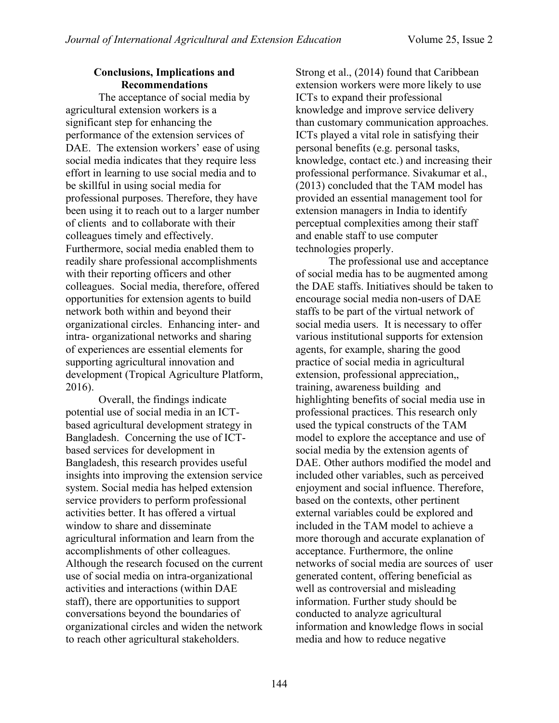## **Conclusions, Implications and Recommendations**

The acceptance of social media by agricultural extension workers is a significant step for enhancing the performance of the extension services of DAE. The extension workers' ease of using social media indicates that they require less effort in learning to use social media and to be skillful in using social media for professional purposes. Therefore, they have been using it to reach out to a larger number of clients and to collaborate with their colleagues timely and effectively. Furthermore, social media enabled them to readily share professional accomplishments with their reporting officers and other colleagues. Social media, therefore, offered opportunities for extension agents to build network both within and beyond their organizational circles. Enhancing inter- and intra- organizational networks and sharing of experiences are essential elements for supporting agricultural innovation and development (Tropical Agriculture Platform, 2016).

Overall, the findings indicate potential use of social media in an ICTbased agricultural development strategy in Bangladesh. Concerning the use of ICTbased services for development in Bangladesh, this research provides useful insights into improving the extension service system. Social media has helped extension service providers to perform professional activities better. It has offered a virtual window to share and disseminate agricultural information and learn from the accomplishments of other colleagues. Although the research focused on the current use of social media on intra-organizational activities and interactions (within DAE staff), there are opportunities to support conversations beyond the boundaries of organizational circles and widen the network to reach other agricultural stakeholders.

Strong et al., (2014) found that Caribbean extension workers were more likely to use ICTs to expand their professional knowledge and improve service delivery than customary communication approaches. ICTs played a vital role in satisfying their personal benefits (e.g. personal tasks, knowledge, contact etc.) and increasing their professional performance. Sivakumar et al., (2013) concluded that the TAM model has provided an essential management tool for extension managers in India to identify perceptual complexities among their staff and enable staff to use computer technologies properly.

The professional use and acceptance of social media has to be augmented among the DAE staffs. Initiatives should be taken to encourage social media non-users of DAE staffs to be part of the virtual network of social media users. It is necessary to offer various institutional supports for extension agents, for example, sharing the good practice of social media in agricultural extension, professional appreciation,, training, awareness building and highlighting benefits of social media use in professional practices. This research only used the typical constructs of the TAM model to explore the acceptance and use of social media by the extension agents of DAE. Other authors modified the model and included other variables, such as perceived enjoyment and social influence. Therefore, based on the contexts, other pertinent external variables could be explored and included in the TAM model to achieve a more thorough and accurate explanation of acceptance. Furthermore, the online networks of social media are sources of user generated content, offering beneficial as well as controversial and misleading information. Further study should be conducted to analyze agricultural information and knowledge flows in social media and how to reduce negative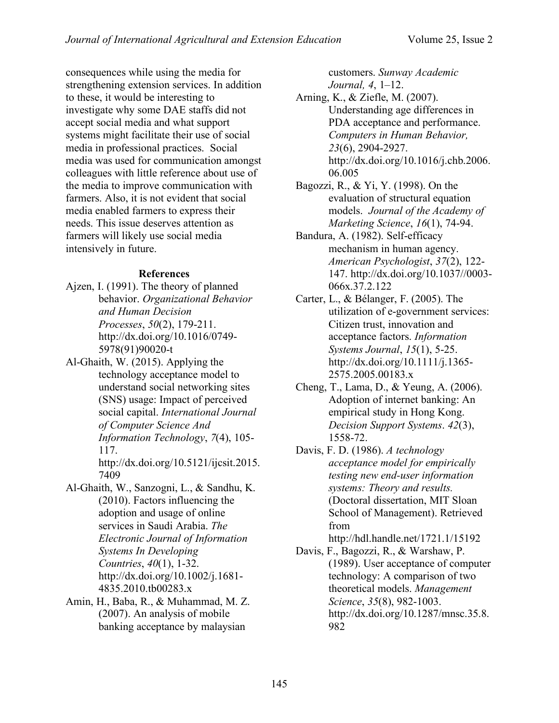consequences while using the media for strengthening extension services. In addition to these, it would be interesting to investigate why some DAE staffs did not accept social media and what support systems might facilitate their use of social media in professional practices. Social media was used for communication amongst colleagues with little reference about use of the media to improve communication with farmers. Also, it is not evident that social media enabled farmers to express their needs. This issue deserves attention as farmers will likely use social media intensively in future.

# **References**

- Ajzen, I. (1991). The theory of planned behavior. *Organizational Behavior and Human Decision Processes*, *50*(2), 179-211. http://dx.doi.org/10.1016/0749- 5978(91)90020-t
- Al-Ghaith, W. (2015). Applying the technology acceptance model to understand social networking sites (SNS) usage: Impact of perceived social capital. *International Journal of Computer Science And Information Technology*, *7*(4), 105- 117.

http://dx.doi.org/10.5121/ijcsit.2015. 7409

- Al-Ghaith, W., Sanzogni, L., & Sandhu, K. (2010). Factors influencing the adoption and usage of online services in Saudi Arabia. *The Electronic Journal of Information Systems In Developing Countries*, *40*(1), 1-32. http://dx.doi.org/10.1002/j.1681- 4835.2010.tb00283.x
- Amin, H., Baba, R., & Muhammad, M. Z. (2007). An analysis of mobile banking acceptance by malaysian

customers. *Sunway Academic Journal, 4*, 1–12.

Arning, K., & Ziefle, M. (2007). Understanding age differences in PDA acceptance and performance. *Computers in Human Behavior, 23*(6), 2904-2927. http://dx.doi.org/10.1016/j.chb.2006. 06.005

- Bagozzi, R., & Yi, Y. (1998). On the evaluation of structural equation models. *Journal of the Academy of Marketing Science*, *16*(1), 74-94.
- Bandura, A. (1982). Self-efficacy mechanism in human agency. *American Psychologist*, *37*(2), 122- 147. http://dx.doi.org/10.1037//0003- 066x.37.2.122
- Carter, L., & Bélanger, F. (2005). The utilization of e-government services: Citizen trust, innovation and acceptance factors. *Information Systems Journal*, *15*(1), 5-25. http://dx.doi.org/10.1111/j.1365- 2575.2005.00183.x
- Cheng, T., Lama, D., & Yeung, A. (2006). Adoption of internet banking: An empirical study in Hong Kong. *Decision Support Systems*. *42*(3), 1558-72.
- Davis, F. D. (1986). *A technology acceptance model for empirically testing new end-user information systems: Theory and results.*  (Doctoral dissertation, MIT Sloan School of Management). Retrieved from

http://hdl.handle.net/1721.1/15192

Davis, F., Bagozzi, R., & Warshaw, P. (1989). User acceptance of computer technology: A comparison of two theoretical models. *Management Science*, *35*(8), 982-1003. http://dx.doi.org/10.1287/mnsc.35.8. 982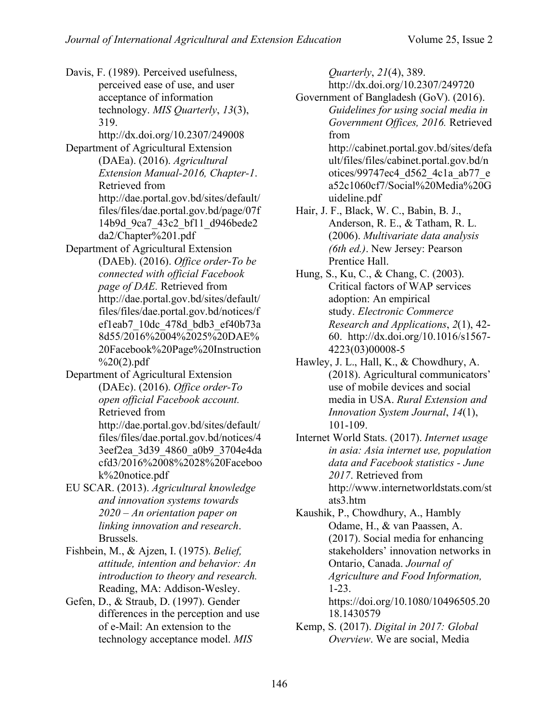Davis, F. (1989). Perceived usefulness, perceived ease of use, and user acceptance of information technology. *MIS Quarterly*, *13*(3), 319. http://dx.doi.org/10.2307/249008 Department of Agricultural Extension (DAEa). (2016). *Agricultural Extension Manual-2016, Chapter-1*. Retrieved from http://dae.portal.gov.bd/sites/default/ files/files/dae.portal.gov.bd/page/07f 14b9d\_9ca7\_43c2\_bf11\_d946bede2 da2/Chapter%201.pdf Department of Agricultural Extension (DAEb). (2016). *Office order-To be connected with official Facebook page of DAE.* Retrieved from http://dae.portal.gov.bd/sites/default/ files/files/dae.portal.gov.bd/notices/f ef1eab7\_10dc\_478d\_bdb3\_ef40b73a 8d55/2016%2004%2025%20DAE% 20Facebook%20Page%20Instruction  $\frac{9}{20}(2)$ .pdf Department of Agricultural Extension (DAEc). (2016). *Office order-To open official Facebook account.*  Retrieved from http://dae.portal.gov.bd/sites/default/ files/files/dae.portal.gov.bd/notices/4 3eef2ea\_3d39\_4860\_a0b9\_3704e4da cfd3/2016%2008%2028%20Faceboo k%20notice.pdf EU SCAR. (2013). *Agricultural knowledge and innovation systems towards 2020 – An orientation paper on linking innovation and research*. Brussels. Fishbein, M., & Ajzen, I. (1975). *Belief, attitude, intention and behavior: An introduction to theory and research.* Reading, MA: Addison-Wesley. Gefen, D., & Straub, D. (1997). Gender differences in the perception and use of e-Mail: An extension to the technology acceptance model. *MIS* 

*Quarterly*, *21*(4), 389. http://dx.doi.org/10.2307/249720 Government of Bangladesh (GoV). (2016). *Guidelines for using social media in Government Offices, 2016.* Retrieved from http://cabinet.portal.gov.bd/sites/defa ult/files/files/cabinet.portal.gov.bd/n otices/99747ec4\_d562\_4c1a\_ab77\_e a52c1060cf7/Social%20Media%20G

uideline.pdf Hair, J. F., Black, W. C., Babin, B. J., Anderson, R. E., & Tatham, R. L. (2006). *Multivariate data analysis (6th ed.)*. New Jersey: Pearson Prentice Hall.

Hung, S., Ku, C., & Chang, C. (2003). Critical factors of WAP services adoption: An empirical study. *Electronic Commerce Research and Applications*, *2*(1), 42- 60. http://dx.doi.org/10.1016/s1567- 4223(03)00008-5

Hawley, J. L., Hall, K., & Chowdhury, A. (2018). Agricultural communicators' use of mobile devices and social media in USA. *Rural Extension and Innovation System Journal*, *14*(1), 101-109.

Internet World Stats. (2017). *Internet usage in asia: Asia internet use, population data and Facebook statistics - June 2017*. Retrieved from http://www.internetworldstats.com/st ats3.htm

Kaushik, P., Chowdhury, A., Hambly Odame, H., & van Paassen, A. (2017). Social media for enhancing stakeholders' innovation networks in Ontario, Canada. *Journal of Agriculture and Food Information,*  1-23. https://doi.org/10.1080/10496505.20 18.1430579

Kemp, S. (2017). *Digital in 2017: Global Overview*. We are social, Media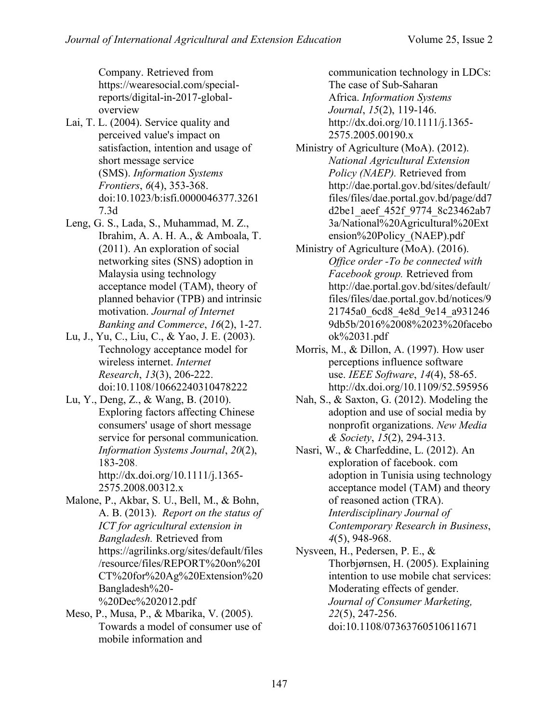Company. Retrieved from https://wearesocial.com/specialreports/digital-in-2017-globaloverview

- Lai, T. L. (2004). Service quality and perceived value's impact on satisfaction, intention and usage of short message service (SMS). *Information Systems Frontiers*, *6*(4), 353-368. doi:10.1023/b:isfi.0000046377.3261 7.3d
- Leng, G. S., Lada, S., Muhammad, M. Z., Ibrahim, A. A. H. A., & Amboala, T. (2011). An exploration of social networking sites (SNS) adoption in Malaysia using technology acceptance model (TAM), theory of planned behavior (TPB) and intrinsic motivation. *Journal of Internet Banking and Commerce*, *16*(2), 1-27.
- Lu, J., Yu, C., Liu, C., & Yao, J. E. (2003). Technology acceptance model for wireless internet. *Internet Research*, *13*(3), 206-222. doi:10.1108/10662240310478222
- Lu, Y., Deng, Z., & Wang, B. (2010). Exploring factors affecting Chinese consumers' usage of short message service for personal communication. *Information Systems Journal*, *20*(2), 183-208. http://dx.doi.org/10.1111/j.1365-

2575.2008.00312.x

- Malone, P., Akbar, S. U., Bell, M., & Bohn, A. B. (2013). *Report on the status of ICT for agricultural extension in Bangladesh.* Retrieved from https://agrilinks.org/sites/default/files /resource/files/REPORT%20on%20I CT%20for%20Ag%20Extension%20 Bangladesh%20- %20Dec%202012.pdf
- Meso, P., Musa, P., & Mbarika, V. (2005). Towards a model of consumer use of mobile information and

communication technology in LDCs: The case of Sub-Saharan Africa. *Information Systems Journal*, *15*(2), 119-146. http://dx.doi.org/10.1111/j.1365- 2575.2005.00190.x

- Ministry of Agriculture (MoA). (2012). *National Agricultural Extension Policy (NAEP).* Retrieved from http://dae.portal.gov.bd/sites/default/ files/files/dae.portal.gov.bd/page/dd7 d2be1\_aeef\_452f\_9774\_8c23462ab7 3a/National%20Agricultural%20Ext ension%20Policy\_(NAEP).pdf
- Ministry of Agriculture (MoA). (2016). *Office order -To be connected with Facebook group.* Retrieved from http://dae.portal.gov.bd/sites/default/ files/files/dae.portal.gov.bd/notices/9 21745a0\_6cd8\_4e8d\_9e14\_a931246 9db5b/2016%2008%2023%20facebo ok%2031.pdf
- Morris, M., & Dillon, A. (1997). How user perceptions influence software use. *IEEE Software*, *14*(4), 58-65. http://dx.doi.org/10.1109/52.595956
- Nah, S., & Saxton, G. (2012). Modeling the adoption and use of social media by nonprofit organizations. *New Media & Society*, *15*(2), 294-313.
- Nasri, W., & Charfeddine, L. (2012). An exploration of facebook. com adoption in Tunisia using technology acceptance model (TAM) and theory of reasoned action (TRA). *Interdisciplinary Journal of Contemporary Research in Business*, *4*(5), 948-968.

Nysveen, H., Pedersen, P. E., & Thorbjørnsen, H. (2005). Explaining intention to use mobile chat services: Moderating effects of gender. *Journal of Consumer Marketing, 22*(5), 247-256. doi:10.1108/07363760510611671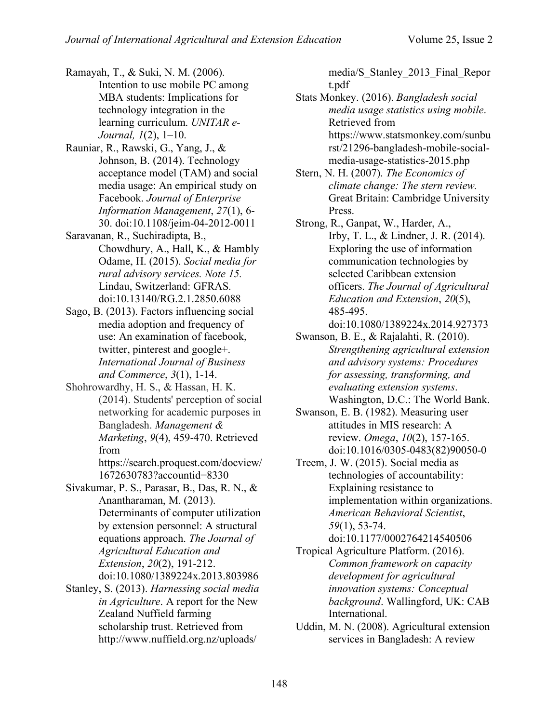Ramayah, T., & Suki, N. M. (2006). Intention to use mobile PC among MBA students: Implications for technology integration in the learning curriculum. *UNITAR e-Journal, 1*(2), 1–10.

- Rauniar, R., Rawski, G., Yang, J., & Johnson, B. (2014). Technology acceptance model (TAM) and social media usage: An empirical study on Facebook. *Journal of Enterprise Information Management*, *27*(1), 6- 30. doi:10.1108/jeim-04-2012-0011
- Saravanan, R., Suchiradipta, B., Chowdhury, A., Hall, K., & Hambly Odame, H. (2015). *Social media for rural advisory services. Note 15.* Lindau, Switzerland: GFRAS. doi:10.13140/RG.2.1.2850.6088
- Sago, B. (2013). Factors influencing social media adoption and frequency of use: An examination of facebook, twitter, pinterest and google+. *International Journal of Business and Commerce*, *3*(1), 1-14.
- Shohrowardhy, H. S., & Hassan, H. K. (2014). Students' perception of social networking for academic purposes in Bangladesh. *Management & Marketing*, *9*(4), 459-470. Retrieved from

https://search.proquest.com/docview/ 1672630783?accountid=8330

- Sivakumar, P. S., Parasar, B., Das, R. N., & Anantharaman, M. (2013). Determinants of computer utilization by extension personnel: A structural equations approach. *The Journal of Agricultural Education and Extension*, *20*(2), 191-212. doi:10.1080/1389224x.2013.803986
- Stanley, S. (2013). *Harnessing social media in Agriculture*. A report for the New Zealand Nuffield farming scholarship trust. Retrieved from http://www.nuffield.org.nz/uploads/

media/S\_Stanley\_2013\_Final\_Repor t.pdf

Stats Monkey. (2016). *Bangladesh social media usage statistics using mobile*. Retrieved from https://www.statsmonkey.com/sunbu rst/21296-bangladesh-mobile-socialmedia-usage-statistics-2015.php

Stern, N. H. (2007). *The Economics of climate change: The stern review.*  Great Britain: Cambridge University Press.

Strong, R., Ganpat, W., Harder, A., Irby, T. L., & Lindner, J. R. (2014). Exploring the use of information communication technologies by selected Caribbean extension officers. *The Journal of Agricultural Education and Extension*, *20*(5), 485-495.

doi:10.1080/1389224x.2014.927373

Swanson, B. E., & Rajalahti, R. (2010). *Strengthening agricultural extension and advisory systems: Procedures for assessing, transforming, and evaluating extension systems*. Washington, D.C.: The World Bank.

- Swanson, E. B. (1982). Measuring user attitudes in MIS research: A review. *Omega*, *10*(2), 157-165. doi:10.1016/0305-0483(82)90050-0
- Treem, J. W. (2015). Social media as technologies of accountability: Explaining resistance to implementation within organizations. *American Behavioral Scientist*, *59*(1), 53-74.

doi:10.1177/0002764214540506

- Tropical Agriculture Platform. (2016). *Common framework on capacity development for agricultural innovation systems: Conceptual background*. Wallingford, UK: CAB International.
- Uddin, M. N. (2008). Agricultural extension services in Bangladesh: A review